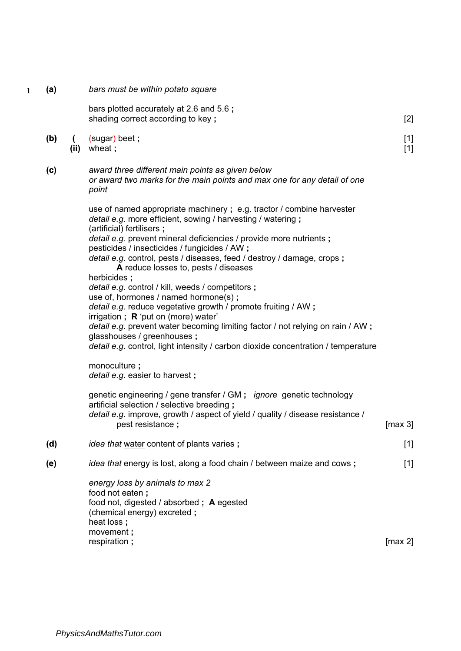- **1**
- (a) bars must be within potato square

[2] [1] [1] bars plotted accurately at 2.6 and 5.6 ; shading correct according to key ; (b) ( (sugar) beet ; (ii) wheat ; (c) award three different main points as given below or award two marks for the main points and max one for any detail of one point use of named appropriate machinery ; e.g. tractor / combine harvester detail e.g. more efficient, sowing / harvesting / watering ; (artificial) fertilisers ; detail e.g. prevent mineral deficiencies / provide more nutrients ; pesticides / insecticides / fungicides / AW ; detail e.g. control, pests / diseases, feed / destroy / damage, crops; A reduce losses to, pests / diseases herbicides ; detail e.g. control / kill, weeds / competitors ; use of, hormones / named hormone(s) ; detail e.g. reduce vegetative growth / promote fruiting / AW; irrigation ;  $R$  'put on (more) water' detail e.g. prevent water becoming limiting factor / not relying on rain / AW; glasshouses / greenhouses ; detail e.g. control, light intensity / carbon dioxide concentration / temperature monoculture ; detail e.g. easier to harvest; genetic engineering / gene transfer / GM ; ignore genetic technology artificial selection / selective breeding ; detail e.g. improve, growth / aspect of yield / quality / disease resistance / pest resistance ;  $\sim$  [max 3] (d) idea that water content of plants varies ; [1] (e) idea that energy is lost, along a food chain / between maize and cows; energy loss by animals to max 2 food not eaten ; food not, digested / absorbed ; A egested (chemical energy) excreted ; heat loss ; movement ; respiration ; [1] [max 2]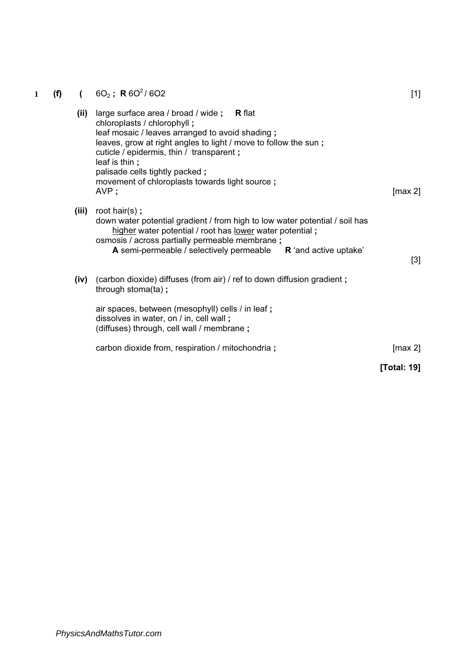## 1 **(f)** (  $6O_2$ ; **R**  $6O^2/6O2$

| (ii)  | large surface area / broad / wide ; $R$ flat<br>chloroplasts / chlorophyll;<br>leaf mosaic / leaves arranged to avoid shading;<br>leaves, grow at right angles to light / move to follow the sun;<br>cuticle / epidermis, thin / transparent;<br>leaf is thin;<br>palisade cells tightly packed; |             |
|-------|--------------------------------------------------------------------------------------------------------------------------------------------------------------------------------------------------------------------------------------------------------------------------------------------------|-------------|
|       | movement of chloroplasts towards light source;<br>AVP;                                                                                                                                                                                                                                           | [max 2]     |
| (iii) | root hair(s);<br>down water potential gradient / from high to low water potential / soil has<br>higher water potential / root has <u>lower</u> water potential;<br>osmosis / across partially permeable membrane;<br>A semi-permeable / selectively permeable R 'and active uptake'              | $[3]$       |
| (iv)  | (carbon dioxide) diffuses (from air) / ref to down diffusion gradient;<br>through stoma(ta);                                                                                                                                                                                                     |             |
|       | air spaces, between (mesophyll) cells / in leaf;<br>dissolves in water, on / in, cell wall;<br>(diffuses) through, cell wall / membrane;                                                                                                                                                         |             |
|       | carbon dioxide from, respiration / mitochondria;                                                                                                                                                                                                                                                 | [max 2]     |
|       |                                                                                                                                                                                                                                                                                                  | [Total: 19] |

[1]